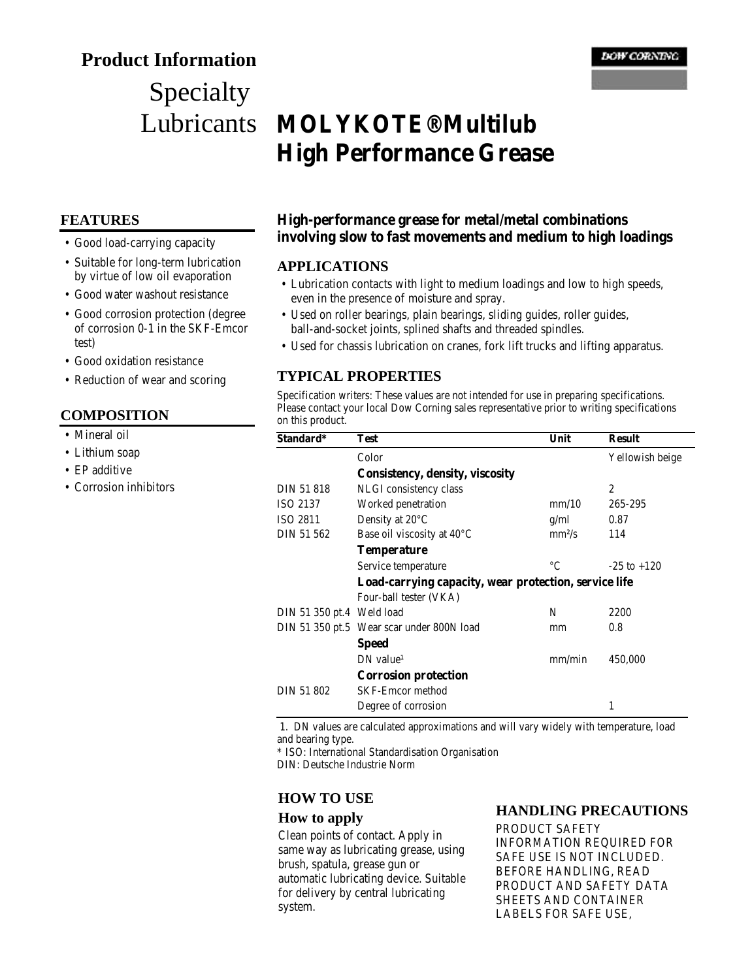## **Product Information**

# Specialty Lubricants

## **FEATURES**

- Good load-carrying capacity
- Suitable for long-term lubrication by virtue of low oil evaporation
- Good water washout resistance
- Good corrosion protection (degree of corrosion 0-1 in the SKF-Emcor test)
- Good oxidation resistance
- Reduction of wear and scoring

### **COMPOSITION**

- Mineral oil
- Lithium soap
- EP additive
- Corrosion inhibitors

## **MOLYKOTE® Multilub High Performance Grease**

## **High-performance grease for metal/metal combinations involving slow to fast movements and medium to high loadings**

### **APPLICATIONS**

- Lubrication contacts with light to medium loadings and low to high speeds, even in the presence of moisture and spray.
- Used on roller bearings, plain bearings, sliding guides, roller guides, ball-and-socket joints, splined shafts and threaded spindles.
- Used for chassis lubrication on cranes, fork lift trucks and lifting apparatus.

## **TYPICAL PROPERTIES**

Specification writers: These values are not intended for use in preparing specifications. Please contact your local Dow Corning sales representative prior to writing specifications on this product.

| Standard*                 | Test                                                  | Unit        | <b>Result</b>   |
|---------------------------|-------------------------------------------------------|-------------|-----------------|
|                           | Color                                                 |             | Yellowish beige |
|                           | Consistency, density, viscosity                       |             |                 |
| DIN 51 818                | NLGI consistency class                                |             | $\overline{2}$  |
| ISO 2137                  | Worked penetration                                    | mm/10       | 265-295         |
| ISO 2811                  | Density at $20^{\circ}$ C                             | g/ml        | 0.87            |
| DIN 51 562                | Base oil viscosity at 40°C                            | $mm^2/s$    | 114             |
|                           | <b>Temperature</b>                                    |             |                 |
|                           | Service temperature                                   | $^{\circ}C$ | $-25$ to $+120$ |
|                           | Load-carrying capacity, wear protection, service life |             |                 |
|                           | Four-ball tester (VKA)                                |             |                 |
| DIN 51 350 pt.4 Weld load |                                                       | N           | 2200            |
|                           | DIN 51 350 pt.5 Wear scar under 800N load             | mm          | 0.8             |
|                           | <b>Speed</b>                                          |             |                 |
|                           | $DN$ value <sup>1</sup>                               | mm/min      | 450,000         |
|                           | <b>Corrosion protection</b>                           |             |                 |
| DIN 51 802                | <b>SKF-Emcor method</b>                               |             |                 |
|                           | Degree of corrosion                                   |             | 1               |

 1. DN values are calculated approximations and will vary widely with temperature, load and bearing type.

\* ISO: International Standardisation Organisation

DIN: Deutsche Industrie Norm

## **HOW TO USE**

#### **How to apply**

Clean points of contact. Apply in same way as lubricating grease, using brush, spatula, grease gun or automatic lubricating device. Suitable for delivery by central lubricating system.

#### **HANDLING PRECAUTIONS**

PRODUCT SAFETY INFORMATION REQUIRED FOR SAFE USE IS NOT INCLUDED. BEFORE HANDLING, READ PRODUCT AND SAFETY DATA SHEETS AND CONTAINER LABELS FOR SAFE USE,

#### **DOW CORNING**